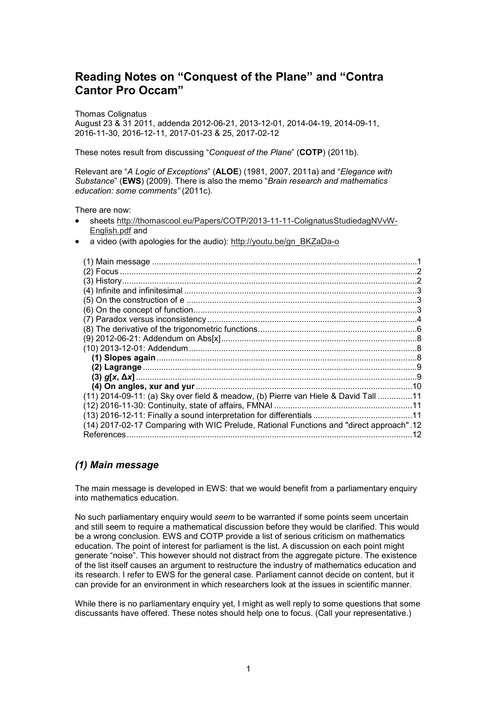# **Reading Notes on "Conquest of the Plane" and "Contra Cantor Pro Occam"**

Thomas Colignatus

August 23 & 31 2011, addenda 2012-06-21, 2013-12-01, 2014-04-19, 2014-09-11, 2016-11-30, 2016-12-11, 2017-01-23 & 25, 2017-02-12

These notes result from discussing "*Conquest of the Plane*" (**COTP**) (2011b).

Relevant are "*A Logic of Exceptions*" (**ALOE**) (1981, 2007, 2011a) and "*Elegance with Substance*" (**EWS**) (2009). There is also the memo "*Brain research and mathematics education: some comments"* (2011c).

There are now:

- sheets http://thomascool.eu/Papers/COTP/2013-11-11-ColignatusStudiedagNVvW-English.pdf and
- a video (with apologies for the audio): http://youtu.be/gn\_BKZaDa-o

| (11) 2014-09-11: (a) Sky over field & meadow, (b) Pierre van Hiele & David Tall 11        |  |
|-------------------------------------------------------------------------------------------|--|
|                                                                                           |  |
|                                                                                           |  |
| 12. "A4) 2017-02-17 Comparing with WIC Prelude, Rational Functions and "direct approach". |  |
| References                                                                                |  |

## *(1) Main message*

The main message is developed in EWS: that we would benefit from a parliamentary enquiry into mathematics education.

No such parliamentary enquiry would *seem* to be warranted if some points seem uncertain and still seem to require a mathematical discussion before they would be clarified. This would be a wrong conclusion. EWS and COTP provide a list of serious criticism on mathematics education. The point of interest for parliament is the list. A discussion on each point might generate "noise". This however should not distract from the aggregate picture. The existence of the list itself causes an argument to restructure the industry of mathematics education and its research. I refer to EWS for the general case. Parliament cannot decide on content, but it can provide for an environment in which researchers look at the issues in scientific manner.

While there is no parliamentary enquiry yet, I might as well reply to some questions that some discussants have offered. These notes should help one to focus. (Call your representative.)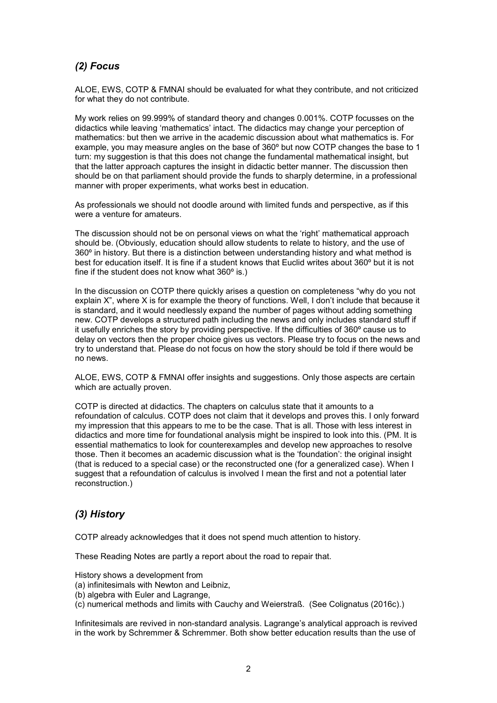## *(2) Focus*

ALOE, EWS, COTP & FMNAI should be evaluated for what they contribute, and not criticized for what they do not contribute.

My work relies on 99.999% of standard theory and changes 0.001%. COTP focusses on the didactics while leaving 'mathematics' intact. The didactics may change your perception of mathematics: but then we arrive in the academic discussion about what mathematics is. For example, you may measure angles on the base of 360º but now COTP changes the base to 1 turn: my suggestion is that this does not change the fundamental mathematical insight, but that the latter approach captures the insight in didactic better manner. The discussion then should be on that parliament should provide the funds to sharply determine, in a professional manner with proper experiments, what works best in education.

As professionals we should not doodle around with limited funds and perspective, as if this were a venture for amateurs.

The discussion should not be on personal views on what the 'right' mathematical approach should be. (Obviously, education should allow students to relate to history, and the use of 360º in history. But there is a distinction between understanding history and what method is best for education itself. It is fine if a student knows that Euclid writes about 360º but it is not fine if the student does not know what 360º is.)

In the discussion on COTP there quickly arises a question on completeness "why do you not explain X", where X is for example the theory of functions. Well, I don't include that because it is standard, and it would needlessly expand the number of pages without adding something new. COTP develops a structured path including the news and only includes standard stuff if it usefully enriches the story by providing perspective. If the difficulties of 360º cause us to delay on vectors then the proper choice gives us vectors. Please try to focus on the news and try to understand that. Please do not focus on how the story should be told if there would be no news.

ALOE, EWS, COTP & FMNAI offer insights and suggestions. Only those aspects are certain which are actually proven.

COTP is directed at didactics. The chapters on calculus state that it amounts to a refoundation of calculus. COTP does not claim that it develops and proves this. I only forward my impression that this appears to me to be the case. That is all. Those with less interest in didactics and more time for foundational analysis might be inspired to look into this. (PM. It is essential mathematics to look for counterexamples and develop new approaches to resolve those. Then it becomes an academic discussion what is the 'foundation': the original insight (that is reduced to a special case) or the reconstructed one (for a generalized case). When I suggest that a refoundation of calculus is involved I mean the first and not a potential later reconstruction.)

## *(3) History*

COTP already acknowledges that it does not spend much attention to history.

These Reading Notes are partly a report about the road to repair that.

History shows a development from

- (a) infinitesimals with Newton and Leibniz,
- (b) algebra with Euler and Lagrange,

(c) numerical methods and limits with Cauchy and Weierstraß. (See Colignatus (2016c).)

Infinitesimals are revived in non-standard analysis. Lagrange's analytical approach is revived in the work by Schremmer & Schremmer. Both show better education results than the use of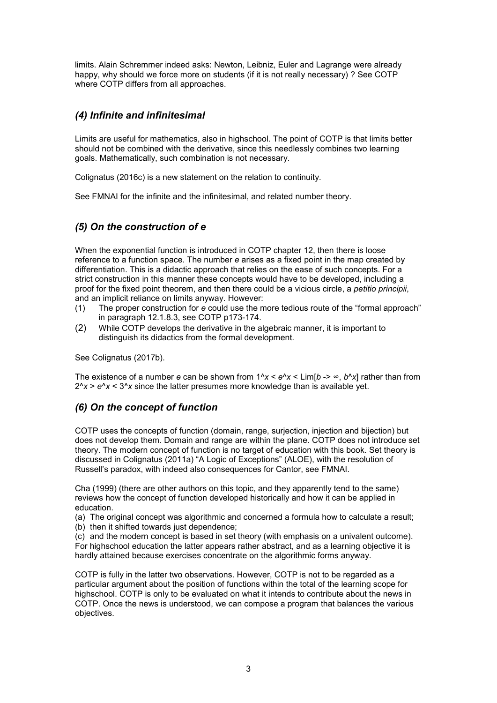limits. Alain Schremmer indeed asks: Newton, Leibniz, Euler and Lagrange were already happy, why should we force more on students (if it is not really necessary) ? See COTP where COTP differs from all approaches.

## *(4) Infinite and infinitesimal*

Limits are useful for mathematics, also in highschool. The point of COTP is that limits better should not be combined with the derivative, since this needlessly combines two learning goals. Mathematically, such combination is not necessary.

Colignatus (2016c) is a new statement on the relation to continuity.

See FMNAI for the infinite and the infinitesimal, and related number theory.

## *(5) On the construction of e*

When the exponential function is introduced in COTP chapter 12, then there is loose reference to a function space. The number *e* arises as a fixed point in the map created by differentiation. This is a didactic approach that relies on the ease of such concepts. For a strict construction in this manner these concepts would have to be developed, including a proof for the fixed point theorem, and then there could be a vicious circle, a *petitio principii*, and an implicit reliance on limits anyway. However:

- (1) The proper construction for *e* could use the more tedious route of the "formal approach" in paragraph 12.1.8.3, see COTP p173-174.
- (2) While COTP develops the derivative in the algebraic manner, it is important to distinguish its didactics from the formal development.

See Colignatus (2017b).

The existence of a number *e* can be shown from  $1^x$ *x* <  $e^x$ *x* < Lim[*b* ->  $\infty$ , *b*<sup>*n*</sup>*x*] rather than from  $2^x$   $\times$   $e^x$   $\times$  3<sup> $x$ </sup> since the latter presumes more knowledge than is available yet.

## *(6) On the concept of function*

COTP uses the concepts of function (domain, range, surjection, injection and bijection) but does not develop them. Domain and range are within the plane. COTP does not introduce set theory. The modern concept of function is no target of education with this book. Set theory is discussed in Colignatus (2011a) "A Logic of Exceptions" (ALOE), with the resolution of Russell's paradox, with indeed also consequences for Cantor, see FMNAI.

Cha (1999) (there are other authors on this topic, and they apparently tend to the same) reviews how the concept of function developed historically and how it can be applied in education.

(a) The original concept was algorithmic and concerned a formula how to calculate a result; (b) then it shifted towards just dependence;

(c) and the modern concept is based in set theory (with emphasis on a univalent outcome). For highschool education the latter appears rather abstract, and as a learning objective it is hardly attained because exercises concentrate on the algorithmic forms anyway.

COTP is fully in the latter two observations. However, COTP is not to be regarded as a particular argument about the position of functions within the total of the learning scope for highschool. COTP is only to be evaluated on what it intends to contribute about the news in COTP. Once the news is understood, we can compose a program that balances the various objectives.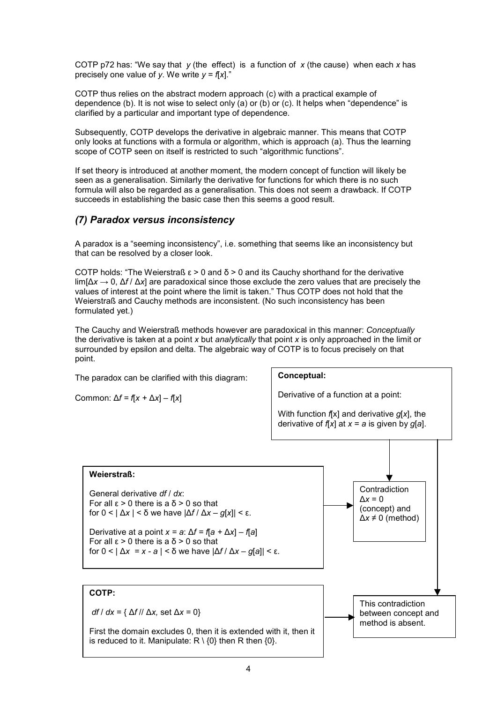COTP p72 has: "We say that *y* (the effect) is a function of *x* (the cause) when each *x* has precisely one value of *y*. We write  $y = f[x]$ ."

COTP thus relies on the abstract modern approach (c) with a practical example of dependence (b). It is not wise to select only (a) or (b) or (c). It helps when "dependence" is clarified by a particular and important type of dependence.

Subsequently, COTP develops the derivative in algebraic manner. This means that COTP only looks at functions with a formula or algorithm, which is approach (a). Thus the learning scope of COTP seen on itself is restricted to such "algorithmic functions".

If set theory is introduced at another moment, the modern concept of function will likely be seen as a generalisation. Similarly the derivative for functions for which there is no such formula will also be regarded as a generalisation. This does not seem a drawback. If COTP succeeds in establishing the basic case then this seems a good result.

### *(7) Paradox versus inconsistency*

A paradox is a "seeming inconsistency", i.e. something that seems like an inconsistency but that can be resolved by a closer look.

COTP holds: "The Weierstraß ε > 0 and δ > 0 and its Cauchy shorthand for the derivative lim[Δ*x* → 0, Δ*f* / Δ*x*] are paradoxical since those exclude the zero values that are precisely the values of interest at the point where the limit is taken." Thus COTP does not hold that the Weierstraß and Cauchy methods are inconsistent. (No such inconsistency has been formulated yet.)

The Cauchy and Weierstraß methods however are paradoxical in this manner: *Conceptually* the derivative is taken at a point *x* but *analytically* that point *x* is only approached in the limit or surrounded by epsilon and delta. The algebraic way of COTP is to focus precisely on that point.

The paradox can be clarified with this diagram:

Common: Δ*f = f*[*x +* Δ*x*] – *f*[*x*]



This contradiction between concept and method is absent.

**Weierstraß:** General derivative *df* / *dx*: For all ε > 0 there is a δ > 0 so that for 0 < | Δ*x* | < δ we have |Δ*f* / Δ*x* – *g*[*x*]| < ε. Derivative at a point *x = a*: Δ*f = f*[*a +* Δ*x*] – *f*[*a*] For all  $ε$  > 0 there is a  $δ$  > 0 so that for 0 < | Δ*x = x - a* | < δ we have |Δ*f* / Δ*x* – *g*[*a*]| < ε. **Contradiction** Δ*x* = 0 (concept) and  $\Delta x \neq 0$  (method)

### **COTP:**

*df* / *dx* = { Δ*f* // Δ*x,* set Δ*x* = 0}

First the domain excludes 0, then it is extended with it, then it is reduced to it. Manipulate:  $R \setminus \{0\}$  then R then  $\{0\}$ .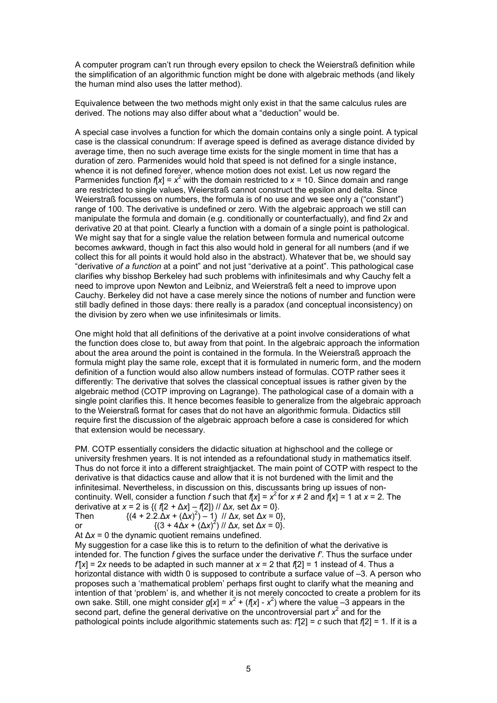A computer program can't run through every epsilon to check the Weierstraß definition while the simplification of an algorithmic function might be done with algebraic methods (and likely the human mind also uses the latter method).

Equivalence between the two methods might only exist in that the same calculus rules are derived. The notions may also differ about what a "deduction" would be.

A special case involves a function for which the domain contains only a single point. A typical case is the classical conundrum: If average speed is defined as average distance divided by average time, then no such average time exists for the single moment in time that has a duration of zero. Parmenides would hold that speed is not defined for a single instance, whence it is not defined forever, whence motion does not exist. Let us now regard the Parmenides function  $f[x] = x^2$  with the domain restricted to  $x = 10$ . Since domain and range are restricted to single values, Weierstraß cannot construct the epsilon and delta. Since Weierstraß focusses on numbers, the formula is of no use and we see only a ("constant") range of 100. The derivative is undefined or zero. With the algebraic approach we still can manipulate the formula and domain (e.g. conditionally or counterfactually), and find 2*x* and derivative 20 at that point. Clearly a function with a domain of a single point is pathological. We might say that for a single value the relation between formula and numerical outcome becomes awkward, though in fact this also would hold in general for all numbers (and if we collect this for all points it would hold also in the abstract). Whatever that be, we should say "derivative *of a function* at a point" and not just "derivative at a point". This pathological case clarifies why bisshop Berkeley had such problems with infinitesimals and why Cauchy felt a need to improve upon Newton and Leibniz, and Weierstraß felt a need to improve upon Cauchy. Berkeley did not have a case merely since the notions of number and function were still badly defined in those days: there really is a paradox (and conceptual inconsistency) on the division by zero when we use infinitesimals or limits.

One might hold that all definitions of the derivative at a point involve considerations of what the function does close to, but away from that point. In the algebraic approach the information about the area around the point is contained in the formula. In the Weierstraß approach the formula might play the same role, except that it is formulated in numeric form, and the modern definition of a function would also allow numbers instead of formulas. COTP rather sees it differently: The derivative that solves the classical conceptual issues is rather given by the algebraic method (COTP improving on Lagrange). The pathological case of a domain with a single point clarifies this. It hence becomes feasible to generalize from the algebraic approach to the Weierstraß format for cases that do not have an algorithmic formula. Didactics still require first the discussion of the algebraic approach before a case is considered for which that extension would be necessary.

PM. COTP essentially considers the didactic situation at highschool and the college or university freshmen years. It is not intended as a refoundational study in mathematics itself. Thus do not force it into a different straightjacket. The main point of COTP with respect to the derivative is that didactics cause and allow that it is not burdened with the limit and the infinitesimal. Nevertheless, in discussion on this, discussants bring up issues of noncontinuity. Well, consider a function *f* such that  $f[x] = x^2$  for  $x \neq 2$  and  $f[x] = 1$  at  $x = 2$ . The derivative at *x* = 2 is {( *f*[2 *+* Δ*x*] – *f*[2]) // Δ*x,* set Δ*x* = 0}. Then  $\{(4 + 2.2.\Delta x + (\Delta x)^2) - 1\}$  //  $\Delta x$ , set  $\Delta x = 0\}$ ,

or {(3 + 4Δ*x* + (Δ*x*) 2 ) // Δ*x,* set Δ*x* = 0}.

At Δ*x* = 0 the dynamic quotient remains undefined.

My suggestion for a case like this is to return to the definition of what the derivative is intended for. The function *f* gives the surface under the derivative *f'*. Thus the surface under  $f[x] = 2x$  needs to be adapted in such manner at  $x = 2$  that  $f[2] = 1$  instead of 4. Thus a horizontal distance with width 0 is supposed to contribute a surface value of  $-3$ . A person who proposes such a 'mathematical problem' perhaps first ought to clarify what the meaning and intention of that 'problem' is, and whether it is not merely concocted to create a problem for its own sake. Still, one might consider  $g[x] = x^2 + (f[x] - x^2)$  where the value –3 appears in the second part, define the general derivative on the uncontroversial part  $x^2$  and for the pathological points include algorithmic statements such as: *f'*[2] = *c* such that *f*[2] = 1. If it is a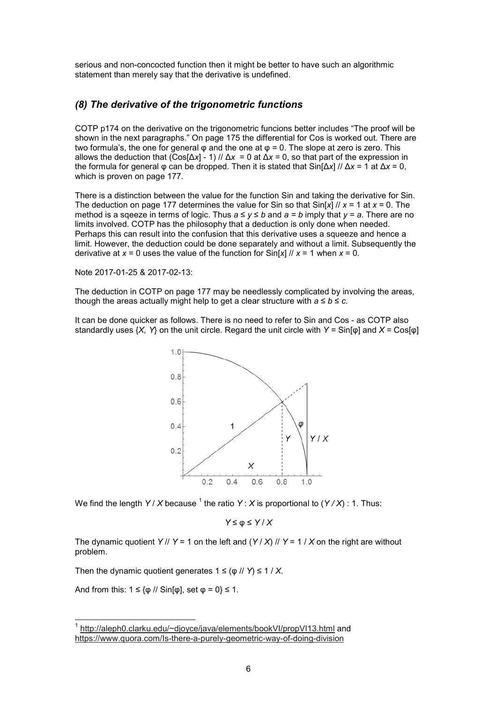serious and non-concocted function then it might be better to have such an algorithmic statement than merely say that the derivative is undefined.

### *(8) The derivative of the trigonometric functions*

COTP p174 on the derivative on the trigonometric funcions better includes "The proof will be shown in the next paragraphs." On page 175 the differential for Cos is worked out. There are two formula's, the one for general  $\varphi$  and the one at  $\varphi = 0$ . The slope at zero is zero. This allows the deduction that  $(Cos[\Delta x] - 1)$  //  $\Delta x = 0$  at  $\Delta x = 0$ , so that part of the expression in the formula for general φ can be dropped. Then it is stated that Sin[Δ*x*] // Δ*x* = 1 at Δ*x* = 0, which is proven on page 177.

There is a distinction between the value for the function Sin and taking the derivative for Sin. The deduction on page 177 determines the value for Sin so that Sin[*x*] // *x* = 1 at *x* = 0. The method is a sqeeze in terms of logic. Thus  $a \le y \le b$  and  $a = b$  imply that  $y = a$ . There are no limits involved. COTP has the philosophy that a deduction is only done when needed. Perhaps this can result into the confusion that this derivative uses a squeeze and hence a limit. However, the deduction could be done separately and without a limit. Subsequently the derivative at  $x = 0$  uses the value of the function for  $\sin[x]/x = 1$  when  $x = 0$ .

Note 2017-01-25 & 2017-02-13:

The deduction in COTP on page 177 may be needlessly complicated by involving the areas, though the areas actually might help to get a clear structure with  $a \le b \le c$ .

It can be done quicker as follows. There is no need to refer to Sin and Cos - as COTP also standardly uses {*X, Y*} on the unit circle. Regard the unit circle with *Y =* Sin[φ] and *X* = Cos[φ]



We find the length *Y / X* because <sup>1</sup> the ratio *Y* : *X* is proportional to (*Y / X*) : 1. Thus:

$$
Y \leq \varphi \leq Y / X
$$

The dynamic quotient *Y* // *Y* = 1 on the left and  $(Y/X)$  // *Y* = 1 / *X* on the right are without problem.

Then the dynamic quotient generates  $1 \leq (p / l) \leq 1 / X$ .

And from this: 1 ≤ {φ // Sin[φ], set φ = 0} ≤ 1*.*

j

<sup>1</sup> http://aleph0.clarku.edu/~djoyce/java/elements/bookVI/propVI13.html and https://www.quora.com/Is-there-a-purely-geometric-way-of-doing-division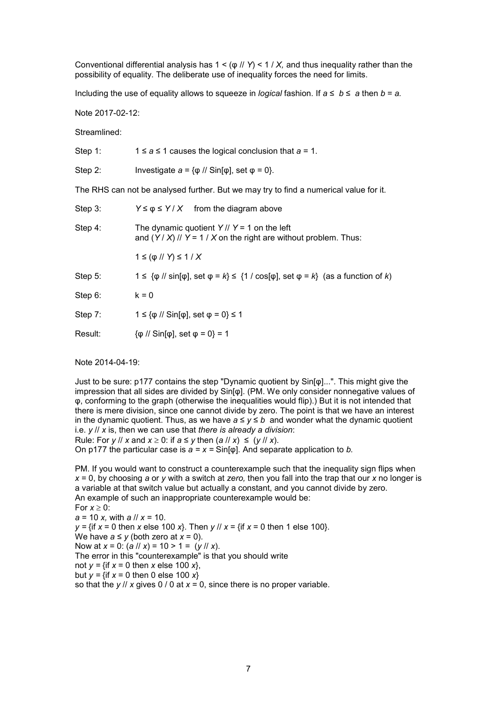Conventional differential analysis has 1 < (φ // *Y*) < 1 / *X,* and thus inequality rather than the possibility of equality. The deliberate use of inequality forces the need for limits.

Including the use of equality allows to squeeze in *logical* fashion. If  $a \le b \le a$  then  $b = a$ .

Note 2017-02-12:

Streamlined:

| Step 1:                                                                               | $1 \le a \le 1$ causes the logical conclusion that $a = 1$ .                                                                                 |  |
|---------------------------------------------------------------------------------------|----------------------------------------------------------------------------------------------------------------------------------------------|--|
| Step 2:                                                                               | Investigate $a = \{\varphi \}/\sqrt{S}$ in $[\varphi]$ , set $\varphi = 0$ .                                                                 |  |
| The RHS can not be analysed further. But we may try to find a numerical value for it. |                                                                                                                                              |  |
| Step 3:                                                                               | $Y \le \varphi \le Y / X$ from the diagram above                                                                                             |  |
| Step 4:                                                                               | The dynamic quotient $Y$ // $Y = 1$ on the left<br>and $(Y/X)$ // $Y = 1 / X$ on the right are without problem. Thus:                        |  |
|                                                                                       | $1 \leq (p \mid N) \leq 1 / X$                                                                                                               |  |
| Step 5:                                                                               | $1 \leq {\varphi}/{{\varphi}}$ sin[ $\varphi$ ], set $\varphi = k$ } $\leq {\{1 / \cos[\varphi]\}$ , set $\varphi = k}$ (as a function of k) |  |
| Step 6:                                                                               | $k = 0$                                                                                                                                      |  |
| Step 7:                                                                               | $1 \leq \{\phi \}/\sqrt{S} \sin[\phi], \text{ set } \phi = 0\} \leq 1$                                                                       |  |
| Result:                                                                               | $\{\phi$ // Sin[ $\phi$ ], set $\phi = 0$ } = 1                                                                                              |  |
|                                                                                       |                                                                                                                                              |  |

Note 2014-04-19:

Just to be sure: p177 contains the step "Dynamic quotient by Sin[φ]...". This might give the impression that all sides are divided by Sin[φ]. (PM. We only consider nonnegative values of φ, conforming to the graph (otherwise the inequalities would flip).) But it is not intended that there is mere division, since one cannot divide by zero. The point is that we have an interest in the dynamic quotient. Thus, as we have  $a ≤ y ≤ b$  and wonder what the dynamic quotient i.e. *y* // *x* is, then we can use that *there is already a division*:

Rule: For *y* // *x* and  $x \ge 0$ : if  $a \le y$  then  $(a \mid x) \le (y \mid x)$ . On p177 the particular case is *a = x =* Sin[φ]. And separate application to *b.*

PM. If you would want to construct a counterexample such that the inequality sign flips when *x* = 0, by choosing *a* or *y* with a switch at *zero,* then you fall into the trap that our *x* no longer is a variable at that switch value but actually a constant, and you cannot divide by zero. An example of such an inappropriate counterexample would be:

For  $x \geq 0$ :

*a* = 10 *x,* with *a* // *x* = 10.

*y =* {if *x* = 0 then *x* else 100 *x*}. Then *y* // *x* = {if *x* = 0 then 1 else 100}.

We have  $a \leq y$  (both zero at  $x = 0$ ). Now at  $x = 0$ : (*a* //  $x$ ) = 10 > 1 = (*y* //  $x$ ).

The error in this "counterexample" is that you should write

not  $y = \{$ if  $x = 0$  then  $x$  else 100  $x\}$ ,

but  $y = \{$ if  $x = 0$  then 0 else 100  $x\}$ 

so that the *y* // *x* gives 0 / 0 at *x* = 0, since there is no proper variable.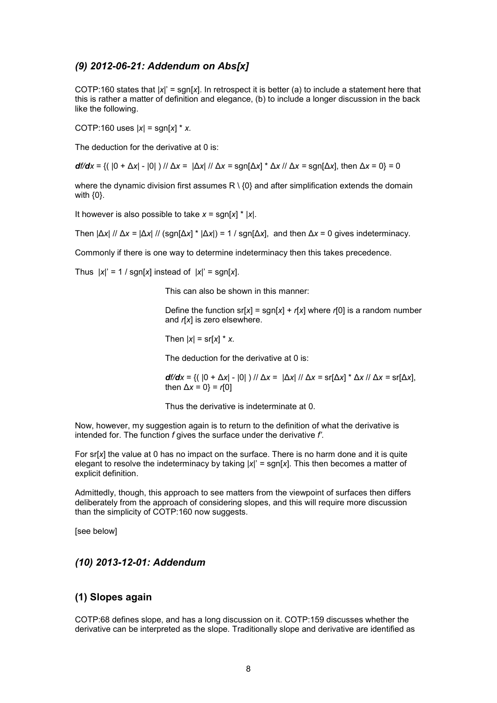### *(9) 2012-06-21: Addendum on Abs[x]*

COTP:160 states that |*x*|' = sgn[*x*]. In retrospect it is better (a) to include a statement here that this is rather a matter of definition and elegance, (b) to include a longer discussion in the back like the following.

COTP:160 uses |*x*| = sgn[*x*] \* *x.*

The deduction for the derivative at 0 is:

*df/dx* = {( |0 + Δ*x|* - |0| ) // Δ*x* = |Δ*x|* // Δ*x =* sgn[Δ*x*] \* Δ*x* // Δ*x =* sgn[Δ*x*], then Δ*x* = 0} = 0

where the dynamic division first assumes  $R \setminus \{0\}$  and after simplification extends the domain with {0}.

It however is also possible to take *x* = sgn[*x*] \* |*x*|.

Then  $|\Delta x| / |\Delta x = |\Delta x| / |$  (sgn[Δ*x*] \*  $|\Delta x|$ ) = 1 / sgn[Δ*x*], and then  $\Delta x = 0$  gives indeterminacy.

Commonly if there is one way to determine indeterminacy then this takes precedence.

Thus  $|x|' = 1 / \text{sgn}[x]$  instead of  $|x|' = \text{sgn}[x]$ .

This can also be shown in this manner:

Define the function  $sr[x] = sgn[x] + r[x]$  where  $r[0]$  is a random number and *r*[*x*] is zero elsewhere.

Then  $|x| = \frac{\text{sr}[x] \cdot x}{x}$ .

The deduction for the derivative at 0 is:

*df/dx* = {( |0 + Δ*x|* - |0| ) // Δ*x* = |Δ*x|* // Δ*x =* sr[Δ*x*] \* Δ*x* // Δ*x =* sr[Δ*x*], then Δ*x* = 0} = *r*[0]

Thus the derivative is indeterminate at 0.

Now, however, my suggestion again is to return to the definition of what the derivative is intended for. The function *f* gives the surface under the derivative *f'*.

For sr[*x*] the value at 0 has no impact on the surface. There is no harm done and it is quite elegant to resolve the indeterminacy by taking |*x*|' = sgn[*x*]. This then becomes a matter of explicit definition.

Admittedly, though, this approach to see matters from the viewpoint of surfaces then differs deliberately from the approach of considering slopes, and this will require more discussion than the simplicity of COTP:160 now suggests.

[see below]

### *(10) 2013-12-01: Addendum*

#### **(1) Slopes again**

COTP:68 defines slope, and has a long discussion on it. COTP:159 discusses whether the derivative can be interpreted as the slope. Traditionally slope and derivative are identified as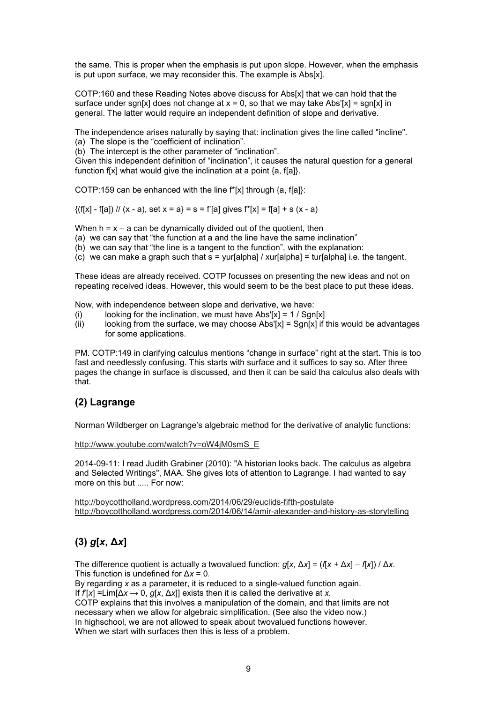the same. This is proper when the emphasis is put upon slope. However, when the emphasis is put upon surface, we may reconsider this. The example is Abs[x].

COTP:160 and these Reading Notes above discuss for Abs[x] that we can hold that the surface under sgn[x] does not change at  $x = 0$ , so that we may take Abs'[x] = sgn[x] in general. The latter would require an independent definition of slope and derivative.

The independence arises naturally by saying that: inclination gives the line called "incline". (a) The slope is the "coefficient of inclination".

(b) The intercept is the other parameter of "inclination".

Given this independent definition of "inclination", it causes the natural question for a general function f[x] what would give the inclination at a point  $\{a, f[a]\}$ .

COTP:159 can be enhanced with the line f\*[x] through {a, f[a]}:

 $\{(f[x] - f[a]) / / (x - a), \text{ set } x = a\} = s = f'[a] \text{ gives } f^*[x] = f[a] + s(x - a)$ 

When  $h = x - a$  can be dynamically divided out of the quotient, then

(a) we can say that "the function at a and the line have the same inclination"

(b) we can say that "the line is a tangent to the function", with the explanation:

 $(c)$  we can make a graph such that  $s =$  yur[alpha] / xur[alpha] = tur[alpha] i.e. the tangent.

These ideas are already received. COTP focusses on presenting the new ideas and not on repeating received ideas. However, this would seem to be the best place to put these ideas.

Now, with independence between slope and derivative, we have:

- (i) looking for the inclination, we must have  $Abs'[x] = 1 / Sgn[x]$
- (ii) looking from the surface, we may choose  $Abs'[x] = Sgn[x]$  if this would be advantages for some applications.

PM. COTP:149 in clarifying calculus mentions "change in surface" right at the start. This is too fast and needlessly confusing. This starts with surface and it suffices to say so. After three pages the change in surface is discussed, and then it can be said tha calculus also deals with that.

#### **(2) Lagrange**

Norman Wildberger on Lagrange's algebraic method for the derivative of analytic functions:

http://www.youtube.com/watch?v=oW4jM0smS\_E

2014-09-11: I read Judith Grabiner (2010): "A historian looks back. The calculus as algebra and Selected Writings", MAA. She gives lots of attention to Lagrange. I had wanted to say more on this but ..... For now:

http://boycottholland.wordpress.com/2014/06/29/euclids-fifth-postulate http://boycottholland.wordpress.com/2014/06/14/amir-alexander-and-history-as-storytelling

## **(3)** *g***[***x***, Δ***x***]**

The difference quotient is actually a twovalued function:  $q[x, Δx] = (f[x + Δx] – f[x]) / Δx$ . This function is undefined for Δ*x* = 0.

By regarding *x* as a parameter, it is reduced to a single-valued function again.

If *f*'[*x*] =Lim[Δ*x* → 0, *g*[*x*, Δ*x*]] exists then it is called the derivative at *x.*

COTP explains that this involves a manipulation of the domain, and that limits are not necessary when we allow for algebraic simplification. (See also the video now.) In highschool, we are not allowed to speak about twovalued functions however. When we start with surfaces then this is less of a problem.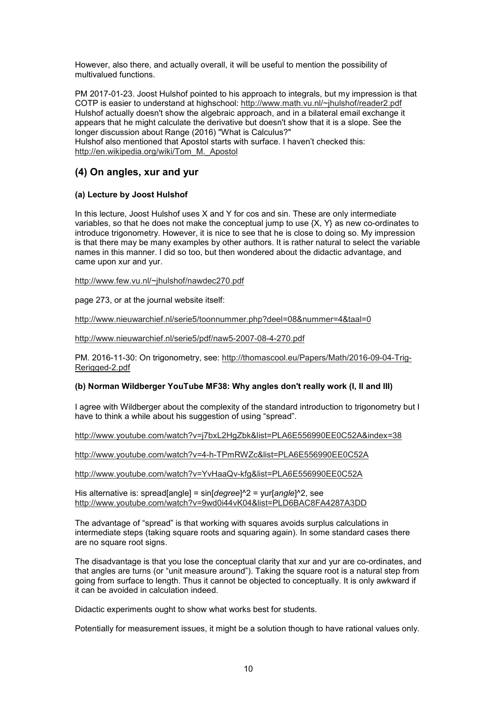However, also there, and actually overall, it will be useful to mention the possibility of multivalued functions.

PM 2017-01-23. Joost Hulshof pointed to his approach to integrals, but my impression is that COTP is easier to understand at highschool: http://www.math.vu.nl/~jhulshof/reader2.pdf Hulshof actually doesn't show the algebraic approach, and in a bilateral email exchange it appears that he might calculate the derivative but doesn't show that it is a slope. See the longer discussion about Range (2016) "What is Calculus?" Hulshof also mentioned that Apostol starts with surface. I haven't checked this: http://en.wikipedia.org/wiki/Tom\_M.\_Apostol

## **(4) On angles, xur and yur**

#### **(a) Lecture by Joost Hulshof**

In this lecture, Joost Hulshof uses X and Y for cos and sin. These are only intermediate variables, so that he does not make the conceptual jump to use {X, Y} as new co-ordinates to introduce trigonometry. However, it is nice to see that he is close to doing so. My impression is that there may be many examples by other authors. It is rather natural to select the variable names in this manner. I did so too, but then wondered about the didactic advantage, and came upon xur and yur.

http://www.few.vu.nl/~jhulshof/nawdec270.pdf

page 273, or at the journal website itself:

http://www.nieuwarchief.nl/serie5/toonnummer.php?deel=08&nummer=4&taal=0

http://www.nieuwarchief.nl/serie5/pdf/naw5-2007-08-4-270.pdf

PM. 2016-11-30: On trigonometry, see: http://thomascool.eu/Papers/Math/2016-09-04-Trig-Rerigged-2.pdf

#### **(b) Norman Wildberger YouTube MF38: Why angles don't really work (I, II and III)**

I agree with Wildberger about the complexity of the standard introduction to trigonometry but I have to think a while about his suggestion of using "spread".

http://www.youtube.com/watch?v=j7bxL2HgZbk&list=PLA6E556990EE0C52A&index=38

http://www.youtube.com/watch?v=4-h-TPmRWZc&list=PLA6E556990EE0C52A

http://www.youtube.com/watch?v=YvHaaQv-kfg&list=PLA6E556990EE0C52A

His alternative is: spread[angle] = sin[*degree*]^2 = yur[*angle*]^2, see http://www.youtube.com/watch?v=9wd0i44vK04&list=PLD6BAC8FA4287A3DD

The advantage of "spread" is that working with squares avoids surplus calculations in intermediate steps (taking square roots and squaring again). In some standard cases there are no square root signs.

The disadvantage is that you lose the conceptual clarity that xur and yur are co-ordinates, and that angles are turns (or "unit measure around"). Taking the square root is a natural step from going from surface to length. Thus it cannot be objected to conceptually. It is only awkward if it can be avoided in calculation indeed.

Didactic experiments ought to show what works best for students.

Potentially for measurement issues, it might be a solution though to have rational values only.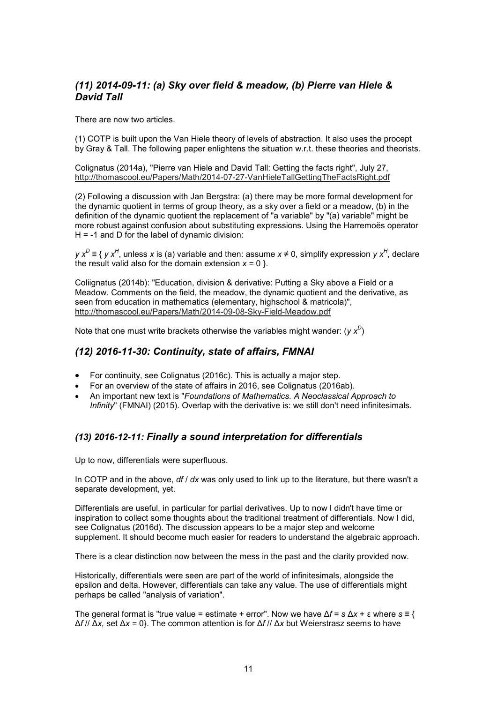## *(11) 2014-09-11: (a) Sky over field & meadow, (b) Pierre van Hiele & David Tall*

There are now two articles.

(1) COTP is built upon the Van Hiele theory of levels of abstraction. It also uses the procept by Gray & Tall. The following paper enlightens the situation w.r.t. these theories and theorists.

Colignatus (2014a), "Pierre van Hiele and David Tall: Getting the facts right", July 27, http://thomascool.eu/Papers/Math/2014-07-27-VanHieleTallGettingTheFactsRight.pdf

(2) Following a discussion with Jan Bergstra: (a) there may be more formal development for the dynamic quotient in terms of group theory, as a sky over a field or a meadow, (b) in the definition of the dynamic quotient the replacement of "a variable" by "(a) variable" might be more robust against confusion about substituting expressions. Using the Harremoës operator  $H = -1$  and D for the label of dynamic division:

*y x<sup>D</sup>* ≡ { *y x<sup>H</sup>* , unless *x* is (a) variable and then: assume *x* ≠ 0, simplify expression *y x<sup>H</sup>* , declare the result valid also for the domain extension  $x = 0$  }.

Coliignatus (2014b): "Education, division & derivative: Putting a Sky above a Field or a Meadow. Comments on the field, the meadow, the dynamic quotient and the derivative, as seen from education in mathematics (elementary, highschool & matricola)", http://thomascool.eu/Papers/Math/2014-09-08-Sky-Field-Meadow.pdf

Note that one must write brackets otherwise the variables might wander: (*y x<sup>D</sup>* )

### *(12) 2016-11-30: Continuity, state of affairs, FMNAI*

- For continuity, see Colignatus (2016c). This is actually a major step.
- For an overview of the state of affairs in 2016, see Colignatus (2016ab).
- An important new text is "*Foundations of Mathematics. A Neoclassical Approach to Infinity*" (FMNAI) (2015). Overlap with the derivative is: we still don't need infinitesimals.

### *(13) 2016-12-11: Finally a sound interpretation for differentials*

Up to now, differentials were superfluous.

In COTP and in the above, *df* / *dx* was only used to link up to the literature, but there wasn't a separate development, yet.

Differentials are useful, in particular for partial derivatives. Up to now I didn't have time or inspiration to collect some thoughts about the traditional treatment of differentials. Now I did, see Colignatus (2016d). The discussion appears to be a major step and welcome supplement. It should become much easier for readers to understand the algebraic approach.

There is a clear distinction now between the mess in the past and the clarity provided now.

Historically, differentials were seen are part of the world of infinitesimals, alongside the epsilon and delta. However, differentials can take any value. The use of differentials might perhaps be called "analysis of variation".

The general format is "true value = estimate + error". Now we have Δ*f* = *s* Δ*x* + ε where *s* ≡ { Δ*f* // Δ*x,* set Δ*x* = 0}. The common attention is for Δ*f* // Δ*x* but Weierstrasz seems to have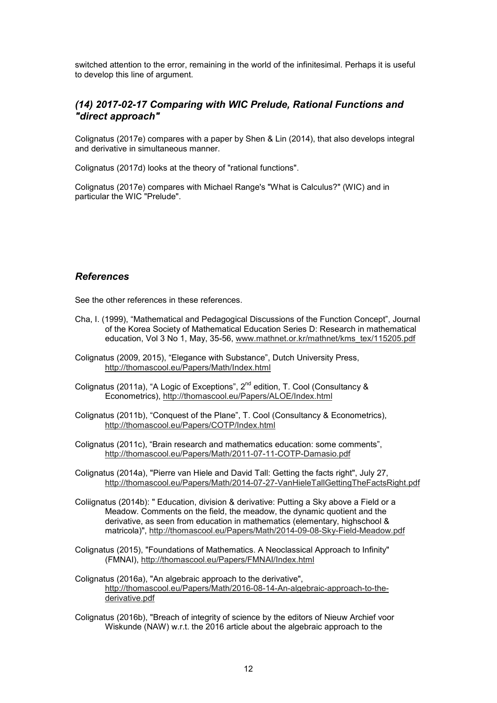switched attention to the error, remaining in the world of the infinitesimal. Perhaps it is useful to develop this line of argument.

### *(14) 2017-02-17 Comparing with WIC Prelude, Rational Functions and "direct approach"*

Colignatus (2017e) compares with a paper by Shen & Lin (2014), that also develops integral and derivative in simultaneous manner.

Colignatus (2017d) looks at the theory of "rational functions".

Colignatus (2017e) compares with Michael Range's "What is Calculus?" (WIC) and in particular the WIC "Prelude".

#### *References*

See the other references in these references.

- Cha, I. (1999), "Mathematical and Pedagogical Discussions of the Function Concept", Journal of the Korea Society of Mathematical Education Series D: Research in mathematical education, Vol 3 No 1, May, 35-56, www.mathnet.or.kr/mathnet/kms\_tex/115205.pdf
- Colignatus (2009, 2015), "Elegance with Substance", Dutch University Press, http://thomascool.eu/Papers/Math/Index.html
- Colignatus (2011a), "A Logic of Exceptions", 2<sup>nd</sup> edition, T. Cool (Consultancy & Econometrics), http://thomascool.eu/Papers/ALOE/Index.html
- Colignatus (2011b), "Conquest of the Plane", T. Cool (Consultancy & Econometrics), http://thomascool.eu/Papers/COTP/Index.html
- Colignatus (2011c), "Brain research and mathematics education: some comments", http://thomascool.eu/Papers/Math/2011-07-11-COTP-Damasio.pdf
- Colignatus (2014a), "Pierre van Hiele and David Tall: Getting the facts right", July 27, http://thomascool.eu/Papers/Math/2014-07-27-VanHieleTallGettingTheFactsRight.pdf
- Coliignatus (2014b): " Education, division & derivative: Putting a Sky above a Field or a Meadow. Comments on the field, the meadow, the dynamic quotient and the derivative, as seen from education in mathematics (elementary, highschool & matricola)", http://thomascool.eu/Papers/Math/2014-09-08-Sky-Field-Meadow.pdf
- Colignatus (2015), "Foundations of Mathematics. A Neoclassical Approach to Infinity" (FMNAI), http://thomascool.eu/Papers/FMNAI/Index.html
- Colignatus (2016a), "An algebraic approach to the derivative", http://thomascool.eu/Papers/Math/2016-08-14-An-algebraic-approach-to-thederivative.pdf
- Colignatus (2016b), "Breach of integrity of science by the editors of Nieuw Archief voor Wiskunde (NAW) w.r.t. the 2016 article about the algebraic approach to the